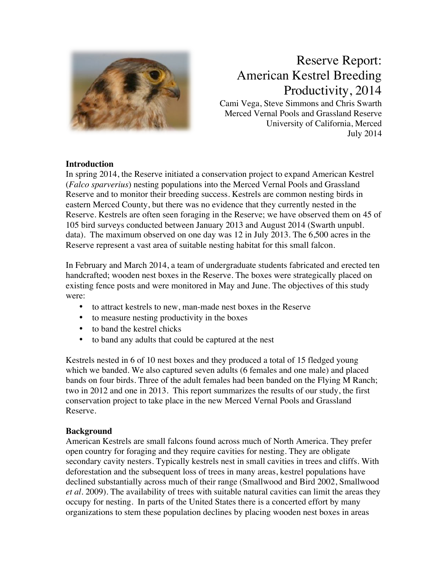

# Reserve Report: American Kestrel Breeding Productivity, 2014

Cami Vega, Steve Simmons and Chris Swarth Merced Vernal Pools and Grassland Reserve University of California, Merced July 2014

# **Introduction**

In spring 2014, the Reserve initiated a conservation project to expand American Kestrel (*Falco sparverius*) nesting populations into the Merced Vernal Pools and Grassland Reserve and to monitor their breeding success. Kestrels are common nesting birds in eastern Merced County, but there was no evidence that they currently nested in the Reserve. Kestrels are often seen foraging in the Reserve; we have observed them on 45 of 105 bird surveys conducted between January 2013 and August 2014 (Swarth unpubl. data). The maximum observed on one day was 12 in July 2013. The 6,500 acres in the Reserve represent a vast area of suitable nesting habitat for this small falcon.

In February and March 2014, a team of undergraduate students fabricated and erected ten handcrafted; wooden nest boxes in the Reserve. The boxes were strategically placed on existing fence posts and were monitored in May and June. The objectives of this study were:

- to attract kestrels to new, man-made nest boxes in the Reserve
- to measure nesting productivity in the boxes
- to band the kestrel chicks
- to band any adults that could be captured at the nest

Kestrels nested in 6 of 10 nest boxes and they produced a total of 15 fledged young which we banded. We also captured seven adults (6 females and one male) and placed bands on four birds. Three of the adult females had been banded on the Flying M Ranch; two in 2012 and one in 2013. This report summarizes the results of our study, the first conservation project to take place in the new Merced Vernal Pools and Grassland Reserve.

# **Background**

American Kestrels are small falcons found across much of North America. They prefer open country for foraging and they require cavities for nesting. They are obligate secondary cavity nesters. Typically kestrels nest in small cavities in trees and cliffs. With deforestation and the subsequent loss of trees in many areas, kestrel populations have declined substantially across much of their range (Smallwood and Bird 2002, Smallwood *et al.* 2009). The availability of trees with suitable natural cavities can limit the areas they occupy for nesting. In parts of the United States there is a concerted effort by many organizations to stem these population declines by placing wooden nest boxes in areas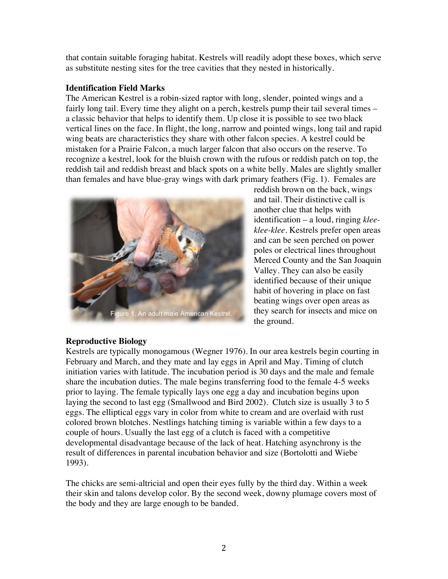that contain suitable foraging habitat. Kestrels will readily adopt these boxes, which serve as substitute nesting sites for the tree cavities that they nested in historically.

## **Identification Field Marks**

The American Kestrel is a robin-sized raptor with long, slender, pointed wings and a fairly long tail. Every time they alight on a perch, kestrels pump their tail several times – a classic behavior that helps to identify them. Up close it is possible to see two black vertical lines on the face. In flight, the long, narrow and pointed wings, long tail and rapid wing beats are characteristics they share with other falcon species. A kestrel could be mistaken for a Prairie Falcon, a much larger falcon that also occurs on the reserve. To recognize a kestrel, look for the bluish crown with the rufous or reddish patch on top, the reddish tail and reddish breast and black spots on a white belly. Males are slightly smaller than females and have blue-gray wings with dark primary feathers (Fig. 1). Females are



reddish brown on the back, wings and tail. Their distinctive call is another clue that helps with identification – a loud, ringing *kleeklee-klee.* Kestrels prefer open areas and can be seen perched on power poles or electrical lines throughout Merced County and the San Joaquin Valley. They can also be easily identified because of their unique habit of hovering in place on fast beating wings over open areas as they search for insects and mice on the ground*.*

# **Reproductive Biology**

Kestrels are typically monogamous (Wegner 1976). In our area kestrels begin courting in February and March, and they mate and lay eggs in April and May. Timing of clutch initiation varies with latitude. The incubation period is 30 days and the male and female share the incubation duties. The male begins transferring food to the female 4-5 weeks prior to laying. The female typically lays one egg a day and incubation begins upon laying the second to last egg (Smallwood and Bird 2002). Clutch size is usually 3 to 5 eggs. The elliptical eggs vary in color from white to cream and are overlaid with rust colored brown blotches. Nestlings hatching timing is variable within a few days to a couple of hours. Usually the last egg of a clutch is faced with a competitive developmental disadvantage because of the lack of heat. Hatching asynchrony is the result of differences in parental incubation behavior and size (Bortolotti and Wiebe 1993).

The chicks are semi-altricial and open their eyes fully by the third day. Within a week their skin and talons develop color. By the second week, downy plumage covers most of the body and they are large enough to be banded.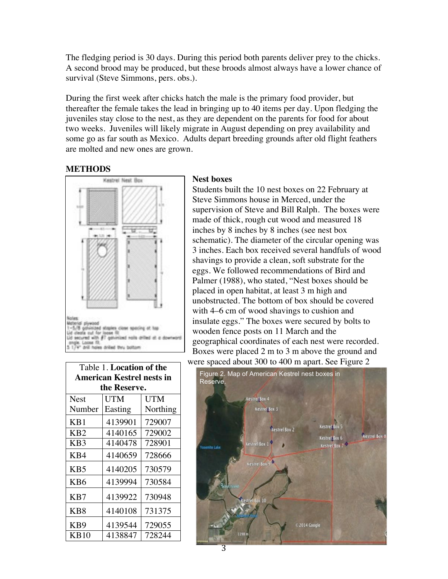The fledging period is 30 days. During this period both parents deliver prey to the chicks. A second brood may be produced, but these broods almost always have a lower chance of survival (Steve Simmons, pers. obs.).

During the first week after chicks hatch the male is the primary food provider, but thereafter the female takes the lead in bringing up to 40 items per day. Upon fledging the juveniles stay close to the nest, as they are dependent on the parents for food for about two weeks. Juveniles will likely migrate in August depending on prey availability and some go as far south as Mexico. Adults depart breeding grounds after old flight feathers are molted and new ones are grown.

#### **METHODS**



| Table 1. Location of the         |         |          |  |  |  |  |  |
|----------------------------------|---------|----------|--|--|--|--|--|
| <b>American Kestrel nests in</b> |         |          |  |  |  |  |  |
| the Reserve.                     |         |          |  |  |  |  |  |
| <b>Nest</b>                      | UTM     | UTM      |  |  |  |  |  |
| Number                           | Easting | Northing |  |  |  |  |  |
| KB1                              | 4139901 | 729007   |  |  |  |  |  |
| KB <sub>2</sub>                  | 4140165 | 729002   |  |  |  |  |  |
| KB <sub>3</sub>                  | 4140478 | 728901   |  |  |  |  |  |
| KB4                              | 4140659 | 728666   |  |  |  |  |  |
| KB <sub>5</sub>                  | 4140205 | 730579   |  |  |  |  |  |
| K <sub>B6</sub>                  | 4139994 | 730584   |  |  |  |  |  |
| K <sub>B</sub> 7                 | 4139922 | 730948   |  |  |  |  |  |
| KB8                              | 4140108 | 731375   |  |  |  |  |  |
| KB <sub>9</sub>                  | 4139544 | 729055   |  |  |  |  |  |
| KB10                             | 4138847 | 728244   |  |  |  |  |  |

#### **Nest boxes**

Students built the 10 nest boxes on 22 February at Steve Simmons house in Merced, under the supervision of Steve and Bill Ralph. The boxes were made of thick, rough cut wood and measured 18 inches by 8 inches by 8 inches (see nest box schematic). The diameter of the circular opening was 3 inches. Each box received several handfuls of wood shavings to provide a clean, soft substrate for the eggs. We followed recommendations of Bird and Palmer (1988), who stated, "Nest boxes should be placed in open habitat, at least 3 m high and unobstructed. The bottom of box should be covered with 4–6 cm of wood shavings to cushion and insulate eggs." The boxes were secured by bolts to wooden fence posts on 11 March and the geographical coordinates of each nest were recorded. Boxes were placed 2 m to 3 m above the ground and were spaced about 300 to 400 m apart. See Figure 2.

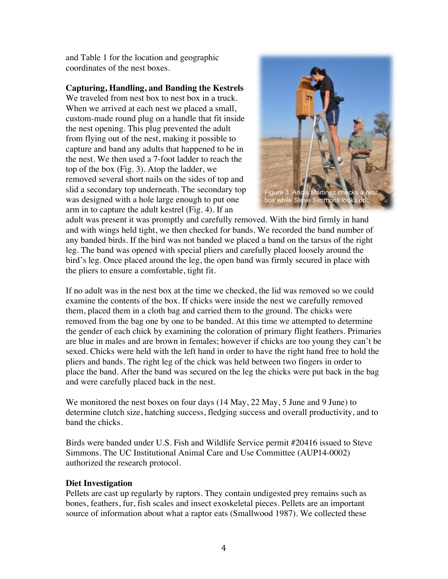and Table 1 for the location and geographic coordinates of the nest boxes.

# **Capturing, Handling, and Banding the Kestrels**

We traveled from nest box to nest box in a truck. When we arrived at each nest we placed a small, custom-made round plug on a handle that fit inside the nest opening. This plug prevented the adult from flying out of the nest, making it possible to capture and band any adults that happened to be in the nest. We then used a 7-foot ladder to reach the top of the box (Fig. 3). Atop the ladder, we removed several short nails on the sides of top and slid a secondary top underneath. The secondary top was designed with a hole large enough to put one arm in to capture the adult kestrel (Fig. 4). If an



adult was present it was promptly and carefully removed. With the bird firmly in hand and with wings held tight, we then checked for bands. We recorded the band number of any banded birds. If the bird was not banded we placed a band on the tarsus of the right leg. The band was opened with special pliers and carefully placed loosely around the bird's leg. Once placed around the leg, the open band was firmly secured in place with the pliers to ensure a comfortable, tight fit.

If no adult was in the nest box at the time we checked, the lid was removed so we could examine the contents of the box. If chicks were inside the nest we carefully removed them, placed them in a cloth bag and carried them to the ground. The chicks were removed from the bag one by one to be banded. At this time we attempted to determine the gender of each chick by examining the coloration of primary flight feathers. Primaries are blue in males and are brown in females; however if chicks are too young they can't be sexed. Chicks were held with the left hand in order to have the right hand free to hold the pliers and bands. The right leg of the chick was held between two fingers in order to place the band. After the band was secured on the leg the chicks were put back in the bag and were carefully placed back in the nest.

We monitored the nest boxes on four days (14 May, 22 May, 5 June and 9 June) to determine clutch size, hatching success, fledging success and overall productivity, and to band the chicks.

Birds were banded under U.S. Fish and Wildlife Service permit #20416 issued to Steve Simmons. The UC Institutional Animal Care and Use Committee (AUP14-0002) authorized the research protocol.

# **Diet Investigation**

Pellets are cast up regularly by raptors. They contain undigested prey remains such as bones, feathers, fur, fish scales and insect exoskeletal pieces. Pellets are an important source of information about what a raptor eats (Smallwood 1987). We collected these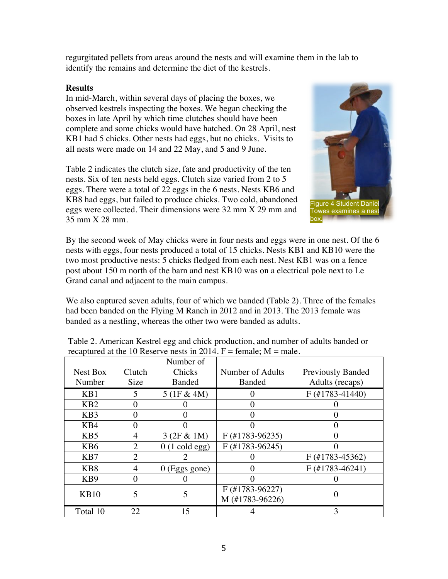regurgitated pellets from areas around the nests and will examine them in the lab to identify the remains and determine the diet of the kestrels.

### **Results**

In mid-March, within several days of placing the boxes, we observed kestrels inspecting the boxes. We began checking the boxes in late April by which time clutches should have been complete and some chicks would have hatched. On 28 April, nest KB1 had 5 chicks. Other nests had eggs, but no chicks. Visits to all nests were made on 14 and 22 May, and 5 and 9 June.

Table 2 indicates the clutch size, fate and productivity of the ten nests. Six of ten nests held eggs. Clutch size varied from 2 to 5 eggs. There were a total of 22 eggs in the 6 nests. Nests KB6 and KB8 had eggs, but failed to produce chicks. Two cold, abandoned eggs were collected. Their dimensions were 32 mm X 29 mm and 35 mm X 28 mm.



By the second week of May chicks were in four nests and eggs were in one nest. Of the 6 nests with eggs, four nests produced a total of 15 chicks. Nests KB1 and KB10 were the two most productive nests: 5 chicks fledged from each nest. Nest KB1 was on a fence post about 150 m north of the barn and nest KB10 was on a electrical pole next to Le Grand canal and adjacent to the main campus.

We also captured seven adults, four of which we banded (Table 2). Three of the females had been banded on the Flying M Ranch in 2012 and in 2013. The 2013 female was banded as a nestling, whereas the other two were banded as adults.

|                  |                         | Number of               |                                      |                          |
|------------------|-------------------------|-------------------------|--------------------------------------|--------------------------|
| Nest Box         | Clutch                  | Chicks                  | Number of Adults                     | <b>Previously Banded</b> |
| Number           | Size                    | <b>Banded</b>           | <b>Banded</b>                        | Adults (recaps)          |
| KB1              | $\overline{\mathbf{5}}$ | 5(1F & 4M)              |                                      | $F$ (#1783-41440)        |
| KB2              | $\Omega$                |                         | 0                                    |                          |
| K <sub>B</sub> 3 | 0                       | $\theta$                |                                      |                          |
| KB4              | 0                       | $\Omega$                | 0                                    | 0                        |
| K <sub>B5</sub>  | 4                       | 3(2F & 1M)              | $F$ (#1783-96235)                    |                          |
| K <sub>B</sub> 6 | 2                       | $0(1 \text{ cold egg})$ | $F$ (#1783-96245)                    | 0                        |
| K <sub>B</sub> 7 | $\mathfrak{D}$          |                         |                                      | $F$ (#1783-45362)        |
| K <sub>B</sub> 8 | 4                       | $0$ (Eggs gone)         | $\mathbf{\Omega}$                    | $F$ (#1783-46241)        |
| K <sub>B</sub> 9 | $\Omega$                |                         |                                      |                          |
| <b>KB10</b>      | 5                       | 5                       | $F$ (#1783-96227)<br>M (#1783-96226) | 0                        |
| Total 10         | 22                      | 15                      |                                      | 3                        |

Table 2. American Kestrel egg and chick production, and number of adults banded or recaptured at the 10 Reserve nests in 2014.  $F =$  female:  $M =$  male.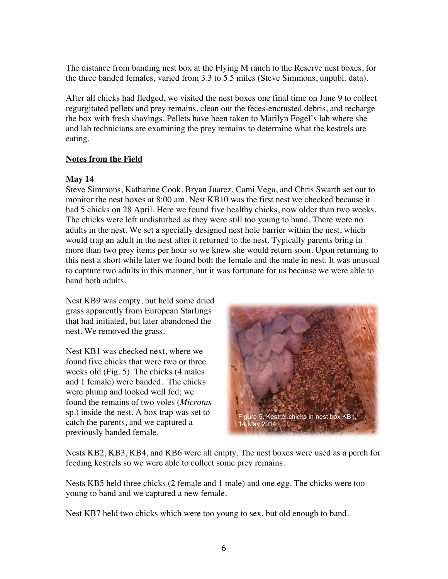The distance from banding nest box at the Flying M ranch to the Reserve nest boxes, for the three banded females, varied from 3.3 to 5.5 miles (Steve Simmons, unpubl. data).

After all chicks had fledged, we visited the nest boxes one final time on June 9 to collect regurgitated pellets and prey remains, clean out the feces-encrusted debris, and recharge the box with fresh shavings. Pellets have been taken to Marilyn Fogel's lab where she and lab technicians are examining the prey remains to determine what the kestrels are eating.

# **Notes from the Field**

# **May 14**

Steve Simmons, Katharine Cook, Bryan Juarez, Cami Vega, and Chris Swarth set out to monitor the nest boxes at 8:00 am. Nest KB10 was the first nest we checked because it had 5 chicks on 28 April. Here we found five healthy chicks, now older than two weeks. The chicks were left undisturbed as they were still too young to band. There were no adults in the nest. We set a specially designed nest hole barrier within the nest, which would trap an adult in the nest after it returned to the nest. Typically parents bring in more than two prey items per hour so we knew she would return soon. Upon returning to this nest a short while later we found both the female and the male in nest. It was unusual to capture two adults in this manner, but it was fortunate for us because we were able to band both adults.

Nest KB9 was empty, but held some dried grass apparently from European Starlings that had initiated, but later abandoned the nest. We removed the grass.

Nest KB1 was checked next, where we found five chicks that were two or three weeks old (Fig. 5). The chicks (4 males and 1 female) were banded. The chicks were plump and looked well fed; we found the remains of two voles (*Microtus* sp.) inside the nest. A box trap was set to catch the parents, and we captured a previously banded female.



Nests KB2, KB3, KB4, and KB6 were all empty. The nest boxes were used as a perch for feeding kestrels so we were able to collect some prey remains.

Nests KB5 held three chicks (2 female and 1 male) and one egg. The chicks were too young to band and we captured a new female.

Nest KB7 held two chicks which were too young to sex, but old enough to band.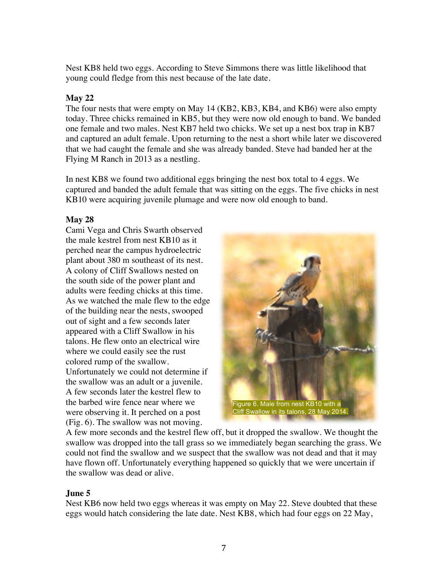Nest KB8 held two eggs. According to Steve Simmons there was little likelihood that young could fledge from this nest because of the late date.

# **May 22**

The four nests that were empty on May 14 (KB2, KB3, KB4, and KB6) were also empty today. Three chicks remained in KB5, but they were now old enough to band. We banded one female and two males. Nest KB7 held two chicks. We set up a nest box trap in KB7 and captured an adult female. Upon returning to the nest a short while later we discovered that we had caught the female and she was already banded. Steve had banded her at the Flying M Ranch in 2013 as a nestling.

In nest KB8 we found two additional eggs bringing the nest box total to 4 eggs. We captured and banded the adult female that was sitting on the eggs. The five chicks in nest KB10 were acquiring juvenile plumage and were now old enough to band.

# **May 28**

Cami Vega and Chris Swarth observed the male kestrel from nest KB10 as it perched near the campus hydroelectric plant about 380 m southeast of its nest. A colony of Cliff Swallows nested on the south side of the power plant and adults were feeding chicks at this time. As we watched the male flew to the edge of the building near the nests, swooped out of sight and a few seconds later appeared with a Cliff Swallow in his talons. He flew onto an electrical wire where we could easily see the rust colored rump of the swallow. Unfortunately we could not determine if the swallow was an adult or a juvenile. A few seconds later the kestrel flew to the barbed wire fence near where we were observing it. It perched on a post (Fig. 6). The swallow was not moving.



A few more seconds and the kestrel flew off, but it dropped the swallow. We thought the swallow was dropped into the tall grass so we immediately began searching the grass. We could not find the swallow and we suspect that the swallow was not dead and that it may have flown off. Unfortunately everything happened so quickly that we were uncertain if the swallow was dead or alive.

# **June 5**

Nest KB6 now held two eggs whereas it was empty on May 22. Steve doubted that these eggs would hatch considering the late date. Nest KB8, which had four eggs on 22 May,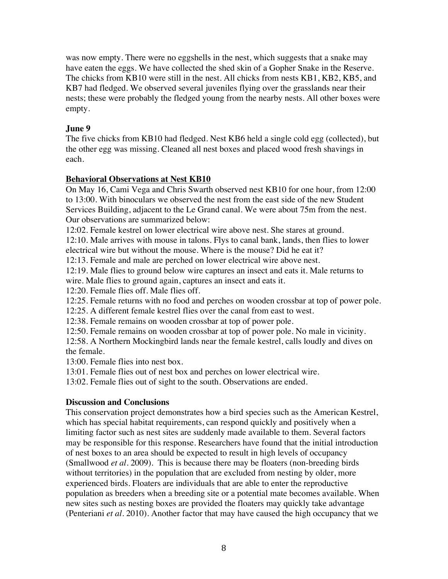was now empty. There were no eggshells in the nest, which suggests that a snake may have eaten the eggs. We have collected the shed skin of a Gopher Snake in the Reserve. The chicks from KB10 were still in the nest. All chicks from nests KB1, KB2, KB5, and KB7 had fledged. We observed several juveniles flying over the grasslands near their nests; these were probably the fledged young from the nearby nests. All other boxes were empty.

# **June 9**

The five chicks from KB10 had fledged. Nest KB6 held a single cold egg (collected), but the other egg was missing. Cleaned all nest boxes and placed wood fresh shavings in each.

# **Behavioral Observations at Nest KB10**

On May 16, Cami Vega and Chris Swarth observed nest KB10 for one hour, from 12:00 to 13:00. With binoculars we observed the nest from the east side of the new Student Services Building, adjacent to the Le Grand canal. We were about 75m from the nest. Our observations are summarized below:

12:02. Female kestrel on lower electrical wire above nest. She stares at ground.

12:10. Male arrives with mouse in talons. Flys to canal bank, lands, then flies to lower electrical wire but without the mouse. Where is the mouse? Did he eat it?

12:13. Female and male are perched on lower electrical wire above nest.

12:19. Male flies to ground below wire captures an insect and eats it. Male returns to wire. Male flies to ground again, captures an insect and eats it.

12:20. Female flies off. Male flies off.

12:25. Female returns with no food and perches on wooden crossbar at top of power pole.

12:25. A different female kestrel flies over the canal from east to west.

12:38. Female remains on wooden crossbar at top of power pole.

12:50. Female remains on wooden crossbar at top of power pole. No male in vicinity.

12:58. A Northern Mockingbird lands near the female kestrel, calls loudly and dives on the female.

13:00. Female flies into nest box.

13:01. Female flies out of nest box and perches on lower electrical wire.

13:02. Female flies out of sight to the south. Observations are ended.

# **Discussion and Conclusions**

This conservation project demonstrates how a bird species such as the American Kestrel, which has special habitat requirements, can respond quickly and positively when a limiting factor such as nest sites are suddenly made available to them. Several factors may be responsible for this response. Researchers have found that the initial introduction of nest boxes to an area should be expected to result in high levels of occupancy (Smallwood *et al.* 2009). This is because there may be floaters (non-breeding birds without territories) in the population that are excluded from nesting by older, more experienced birds. Floaters are individuals that are able to enter the reproductive population as breeders when a breeding site or a potential mate becomes available. When new sites such as nesting boxes are provided the floaters may quickly take advantage (Penteriani *et al.* 2010). Another factor that may have caused the high occupancy that we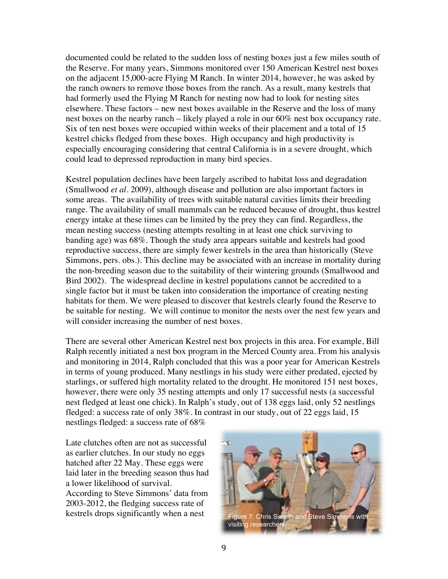documented could be related to the sudden loss of nesting boxes just a few miles south of the Reserve. For many years, Simmons monitored over 150 American Kestrel nest boxes on the adjacent 15,000-acre Flying M Ranch. In winter 2014, however, he was asked by the ranch owners to remove those boxes from the ranch. As a result, many kestrels that had formerly used the Flying M Ranch for nesting now had to look for nesting sites elsewhere. These factors – new nest boxes available in the Reserve and the loss of many nest boxes on the nearby ranch – likely played a role in our 60% nest box occupancy rate. Six of ten nest boxes were occupied within weeks of their placement and a total of 15 kestrel chicks fledged from these boxes. High occupancy and high productivity is especially encouraging considering that central California is in a severe drought, which could lead to depressed reproduction in many bird species.

Kestrel population declines have been largely ascribed to habitat loss and degradation (Smallwood *et al*. 2009), although disease and pollution are also important factors in some areas. The availability of trees with suitable natural cavities limits their breeding range. The availability of small mammals can be reduced because of drought, thus kestrel energy intake at these times can be limited by the prey they can find. Regardless, the mean nesting success (nesting attempts resulting in at least one chick surviving to banding age) was 68%. Though the study area appears suitable and kestrels had good reproductive success, there are simply fewer kestrels in the area than historically (Steve Simmons, pers. obs.). This decline may be associated with an increase in mortality during the non-breeding season due to the suitability of their wintering grounds (Smallwood and Bird 2002). The widespread decline in kestrel populations cannot be accredited to a single factor but it must be taken into consideration the importance of creating nesting habitats for them. We were pleased to discover that kestrels clearly found the Reserve to be suitable for nesting. We will continue to monitor the nests over the nest few years and will consider increasing the number of nest boxes.

There are several other American Kestrel nest box projects in this area. For example, Bill Ralph recently initiated a nest box program in the Merced County area. From his analysis and monitoring in 2014, Ralph concluded that this was a poor year for American Kestrels in terms of young produced. Many nestlings in his study were either predated, ejected by starlings, or suffered high mortality related to the drought. He monitored 151 nest boxes, however, there were only 35 nesting attempts and only 17 successful nests (a successful nest fledged at least one chick). In Ralph's study, out of 138 eggs laid, only 52 nestlings fledged: a success rate of only 38%. In contrast in our study, out of 22 eggs laid, 15 nestlings fledged: a success rate of 68%

Late clutches often are not as successful as earlier clutches. In our study no eggs hatched after 22 May. These eggs were laid later in the breeding season thus had a lower likelihood of survival. According to Steve Simmons' data from 2003-2012, the fledging success rate of

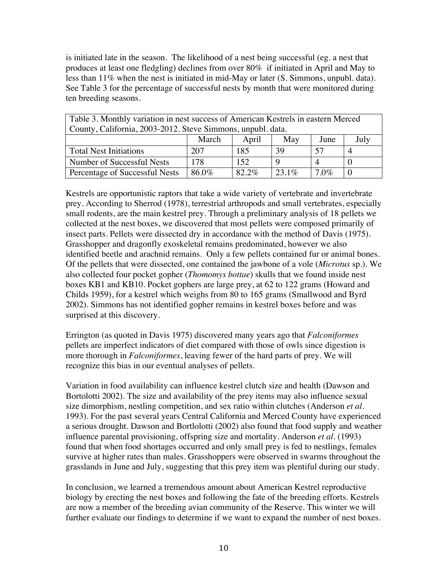is initiated late in the season. The likelihood of a nest being successful (eg. a nest that produces at least one fledgling) declines from over 80% if initiated in April and May to less than 11% when the nest is initiated in mid-May or later (S. Simmons, unpubl. data). See Table 3 for the percentage of successful nests by month that were monitored during ten breeding seasons.

| Table 3. Monthly variation in nest success of American Kestrels in eastern Merced |       |       |          |         |      |  |  |  |
|-----------------------------------------------------------------------------------|-------|-------|----------|---------|------|--|--|--|
| County, California, 2003-2012. Steve Simmons, unpubl. data.                       |       |       |          |         |      |  |  |  |
|                                                                                   | March | April | May      | June    | July |  |  |  |
| <b>Total Nest Initiations</b>                                                     | 207   | 185   | 39       | 57      |      |  |  |  |
| Number of Successful Nests                                                        | 178   | 152   | Q        |         |      |  |  |  |
| Percentage of Successful Nests                                                    | 86.0% | 82.2% | $23.1\%$ | $7.0\%$ |      |  |  |  |

Kestrels are opportunistic raptors that take a wide variety of vertebrate and invertebrate prey. According to Sherrod (1978), terrestrial arthropods and small vertebrates, especially small rodents, are the main kestrel prey. Through a preliminary analysis of 18 pellets we collected at the nest boxes, we discovered that most pellets were composed primarily of insect parts. Pellets were dissected dry in accordance with the method of Davis (1975). Grasshopper and dragonfly exoskeletal remains predominated, however we also identified beetle and arachnid remains. Only a few pellets contained fur or animal bones. Of the pellets that were dissected, one contained the jawbone of a vole (*Microtus* sp.). We also collected four pocket gopher (*Thomomys bottae*) skulls that we found inside nest boxes KB1 and KB10. Pocket gophers are large prey, at 62 to 122 grams (Howard and Childs 1959), for a kestrel which weighs from 80 to 165 grams (Smallwood and Byrd 2002). Simmons has not identified gopher remains in kestrel boxes before and was surprised at this discovery.

Errington (as quoted in Davis 1975) discovered many years ago that *Falconiformes*  pellets are imperfect indicators of diet compared with those of owls since digestion is more thorough in *Falconiformes*, leaving fewer of the hard parts of prey. We will recognize this bias in our eventual analyses of pellets.

Variation in food availability can influence kestrel clutch size and health (Dawson and Bortolotti 2002). The size and availability of the prey items may also influence sexual size dimorphism, nestling competition, and sex ratio within clutches (Anderson *et al*. 1993). For the past several years Central California and Merced County have experienced a serious drought. Dawson and Bortlolotti (2002) also found that food supply and weather influence parental provisioning, offspring size and mortality. Anderson *et al.* (1993) found that when food shortages occurred and only small prey is fed to nestlings, females survive at higher rates than males. Grasshoppers were observed in swarms throughout the grasslands in June and July, suggesting that this prey item was plentiful during our study.

In conclusion, we learned a tremendous amount about American Kestrel reproductive biology by erecting the nest boxes and following the fate of the breeding efforts. Kestrels are now a member of the breeding avian community of the Reserve. This winter we will further evaluate our findings to determine if we want to expand the number of nest boxes.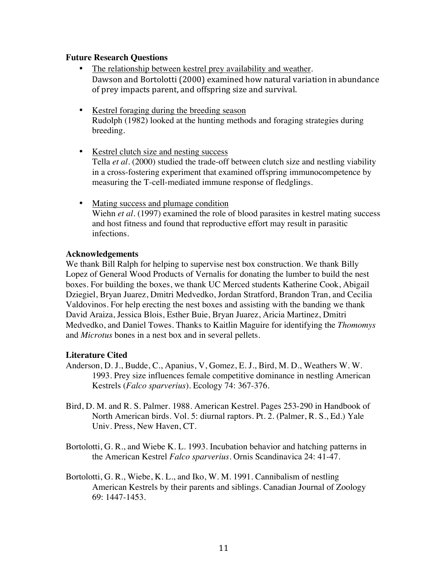#### **Future Research Questions**

- The relationship between kestrel prey availability and weather. Dawson and Bortolotti (2000) examined how natural variation in abundance of prey impacts parent, and offspring size and survival.
- Kestrel foraging during the breeding season Rudolph (1982) looked at the hunting methods and foraging strategies during breeding.
- Kestrel clutch size and nesting success Tella *et al*. (2000) studied the trade-off between clutch size and nestling viability in a cross-fostering experiment that examined offspring immunocompetence by measuring the T-cell-mediated immune response of fledglings.
- Mating success and plumage condition Wiehn *et al*. (1997) examined the role of blood parasites in kestrel mating success and host fitness and found that reproductive effort may result in parasitic infections.

#### **Acknowledgements**

We thank Bill Ralph for helping to supervise nest box construction. We thank Billy Lopez of General Wood Products of Vernalis for donating the lumber to build the nest boxes. For building the boxes, we thank UC Merced students Katherine Cook, Abigail Dziegiel, Bryan Juarez, Dmitri Medvedko, Jordan Stratford, Brandon Tran, and Cecilia Valdovinos. For help erecting the nest boxes and assisting with the banding we thank David Araiza, Jessica Blois, Esther Buie, Bryan Juarez, Aricia Martinez, Dmitri Medvedko, and Daniel Towes. Thanks to Kaitlin Maguire for identifying the *Thomomys* and *Microtus* bones in a nest box and in several pellets.

#### **Literature Cited**

- Anderson, D. J., Budde, C., Apanius, V, Gomez, E. J., Bird, M. D., Weathers W. W. 1993. Prey size influences female competitive dominance in nestling American Kestrels (*Falco sparverius*). Ecology 74: 367-376.
- Bird, D. M. and R. S. Palmer. 1988. American Kestrel. Pages 253-290 in Handbook of North American birds. Vol. 5: diurnal raptors. Pt. 2. (Palmer, R. S., Ed.) Yale Univ. Press, New Haven, CT.
- Bortolotti, G. R., and Wiebe K. L. 1993. Incubation behavior and hatching patterns in the American Kestrel *Falco sparverius*. Ornis Scandinavica 24: 41-47.
- Bortolotti, G. R., Wiebe, K. L., and Iko, W. M. 1991. Cannibalism of nestling American Kestrels by their parents and siblings. Canadian Journal of Zoology 69: 1447-1453.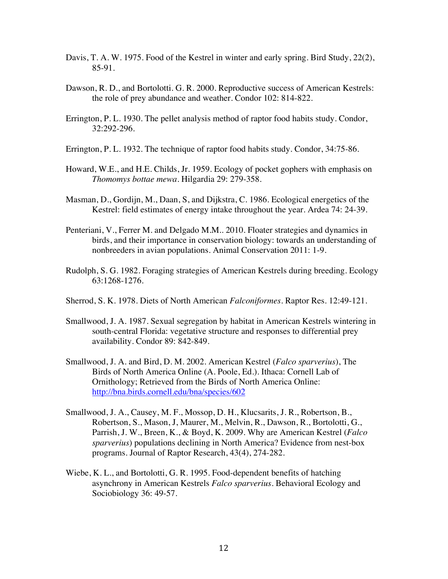- Davis, T. A. W. 1975. Food of the Kestrel in winter and early spring. Bird Study, 22(2), 85-91.
- Dawson, R. D., and Bortolotti. G. R. 2000. Reproductive success of American Kestrels: the role of prey abundance and weather. Condor 102: 814-822.
- Errington, P. L. 1930. The pellet analysis method of raptor food habits study. Condor, 32:292-296.
- Errington, P. L. 1932. The technique of raptor food habits study. Condor, 34:75-86.
- Howard, W.E., and H.E. Childs, Jr. 1959. Ecology of pocket gophers with emphasis on *Thomomys bottae mewa*. Hilgardia 29: 279-358.
- Masman, D., Gordijn, M., Daan, S, and Dijkstra, C. 1986. Ecological energetics of the Kestrel: field estimates of energy intake throughout the year. Ardea 74: 24-39.
- Penteriani, V., Ferrer M. and Delgado M.M.. 2010. Floater strategies and dynamics in birds, and their importance in conservation biology: towards an understanding of nonbreeders in avian populations. Animal Conservation 2011: 1-9.
- Rudolph, S. G. 1982. Foraging strategies of American Kestrels during breeding. Ecology 63:1268-1276.
- Sherrod, S. K. 1978. Diets of North American *Falconiformes*. Raptor Res. 12:49-121.
- Smallwood, J. A. 1987. Sexual segregation by habitat in American Kestrels wintering in south-central Florida: vegetative structure and responses to differential prey availability. Condor 89: 842-849.
- Smallwood, J. A. and Bird, D. M. 2002. American Kestrel (*Falco sparverius*), The Birds of North America Online (A. Poole, Ed.). Ithaca: Cornell Lab of Ornithology; Retrieved from the Birds of North America Online: http://bna.birds.cornell.edu/bna/species/602
- Smallwood, J. A., Causey, M. F., Mossop, D. H., Klucsarits, J. R., Robertson, B., Robertson, S., Mason, J, Maurer, M., Melvin, R., Dawson, R., Bortolotti, G., Parrish, J. W., Breen, K., & Boyd, K. 2009. Why are American Kestrel (*Falco sparverius*) populations declining in North America? Evidence from nest-box programs. Journal of Raptor Research, 43(4), 274-282.
- Wiebe, K. L., and Bortolotti, G. R. 1995. Food-dependent benefits of hatching asynchrony in American Kestrels *Falco sparverius*. Behavioral Ecology and Sociobiology 36: 49-57.